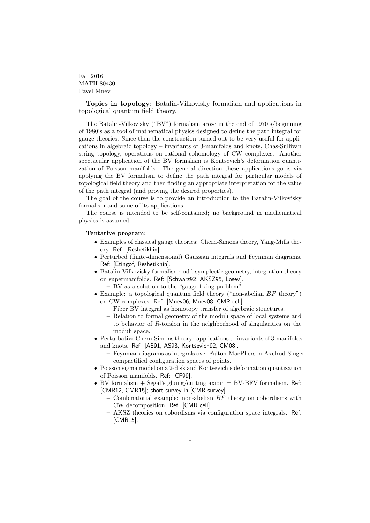Fall 2016 MATH 80430 Pavel Mnev

Topics in topology: Batalin-Vilkovisky formalism and applications in topological quantum field theory.

The Batalin-Vilkovisky ("BV") formalism arose in the end of 1970's/beginning of 1980's as a tool of mathematical physics designed to define the path integral for gauge theories. Since then the construction turned out to be very useful for applications in algebraic topology – invariants of 3-manifolds and knots, Chas-Sullivan string topology, operations on rational cohomology of CW complexes. Another spectacular application of the BV formalism is Kontsevich's deformation quantization of Poisson manifolds. The general direction these applications go is via applying the BV formalism to define the path integral for particular models of topological field theory and then finding an appropriate interpretation for the value of the path integral (and proving the desired properties).

The goal of the course is to provide an introduction to the Batalin-Vilkovisky formalism and some of its applications.

The course is intended to be self-contained; no background in mathematical physics is assumed.

## Tentative program:

- Examples of classical gauge theories: Chern-Simons theory, Yang-Mills theory. Ref: [Reshetikhin].
- Perturbed (finite-dimensional) Gaussian integrals and Feynman diagrams. Ref: [Etingof, Reshetikhin].
- Batalin-Vilkovisky formalism: odd-symplectic geometry, integration theory on supermanifolds. Ref: [Schwarz92, AKSZ95, Losev].
	- BV as a solution to the "gauge-fixing problem".
- Example: a topological quantum field theory ("non-abelian  $BF$  theory") on CW complexes. Ref: [Mnev06, Mnev08, CMR cell].
	- Fiber BV integral as homotopy transfer of algebraic structures.
	- Relation to formal geometry of the moduli space of local systems and to behavior of R-torsion in the neighborhood of singularities on the moduli space.
- Perturbative Chern-Simons theory: applications to invariants of 3-manifolds and knots. Ref: [AS91, AS93, Kontsevich92, CM08].
	- Feynman diagrams as integrals over Fulton-MacPherson-Axelrod-Singer compactified configuration spaces of points.
- Poisson sigma model on a 2-disk and Kontsevich's deformation quantization of Poisson manifolds. Ref: [CF99].
- BV formalism  $+$  Segal's gluing/cutting axiom  $=$  BV-BFV formalism. Ref: [CMR12, CMR15]; short survey in [CMR survey].
	- Combinatorial example: non-abelian  $BF$  theory on cobordisms with CW decomposition. Ref: [CMR cell].
	- AKSZ theories on cobordisms via configuration space integrals. Ref: [CMR15].